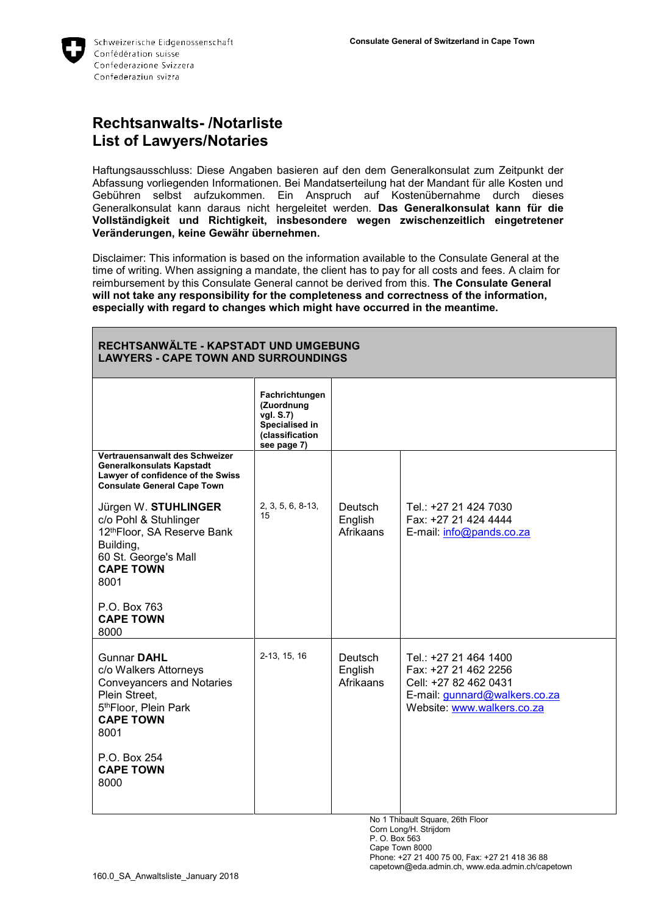

## **Rechtsanwalts- /Notarliste List of Lawyers/Notaries**

Haftungsausschluss: Diese Angaben basieren auf den dem Generalkonsulat zum Zeitpunkt der Abfassung vorliegenden Informationen. Bei Mandatserteilung hat der Mandant für alle Kosten und Gebühren selbst aufzukommen. Ein Anspruch auf Kostenübernahme durch dieses Generalkonsulat kann daraus nicht hergeleitet werden. **Das Generalkonsulat kann für die Vollständigkeit und Richtigkeit, insbesondere wegen zwischenzeitlich eingetretener Veränderungen, keine Gewähr übernehmen.**

Disclaimer: This information is based on the information available to the Consulate General at the time of writing. When assigning a mandate, the client has to pay for all costs and fees. A claim for reimbursement by this Consulate General cannot be derived from this. **The Consulate General will not take any responsibility for the completeness and correctness of the information, especially with regard to changes which might have occurred in the meantime.**

| RECHTSANWÄLTE - KAPSTADT UND UMGEBUNG<br><b>LAWYERS - CAPE TOWN AND SURROUNDINGS</b>                                                                                                              |                                                                                               |                                 |                                                                                                                                       |
|---------------------------------------------------------------------------------------------------------------------------------------------------------------------------------------------------|-----------------------------------------------------------------------------------------------|---------------------------------|---------------------------------------------------------------------------------------------------------------------------------------|
|                                                                                                                                                                                                   | Fachrichtungen<br>(Zuordnung<br>vgl. S.7)<br>Specialised in<br>(classification<br>see page 7) |                                 |                                                                                                                                       |
| Vertrauensanwalt des Schweizer<br>Generalkonsulats Kapstadt<br>Lawyer of confidence of the Swiss<br><b>Consulate General Cape Town</b>                                                            |                                                                                               |                                 |                                                                                                                                       |
| Jürgen W. STUHLINGER<br>c/o Pohl & Stuhlinger<br>12thFloor, SA Reserve Bank<br>Building,<br>60 St. George's Mall<br><b>CAPE TOWN</b><br>8001<br>P.O. Box 763<br><b>CAPE TOWN</b>                  | 2, 3, 5, 6, 8-13,<br>15                                                                       | Deutsch<br>English<br>Afrikaans | Tel.: +27 21 424 7030<br>Fax: +27 21 424 4444<br>E-mail: info@pands.co.za                                                             |
| 8000                                                                                                                                                                                              |                                                                                               |                                 |                                                                                                                                       |
| <b>Gunnar DAHL</b><br>c/o Walkers Attorneys<br><b>Conveyancers and Notaries</b><br>Plein Street,<br>5th Floor, Plein Park<br><b>CAPE TOWN</b><br>8001<br>P.O. Box 254<br><b>CAPE TOWN</b><br>8000 | 2-13, 15, 16                                                                                  | Deutsch<br>English<br>Afrikaans | Tel.: +27 21 464 1400<br>Fax: +27 21 462 2256<br>Cell: +27 82 462 0431<br>E-mail: gunnard@walkers.co.za<br>Website: www.walkers.co.za |

No 1 Thibault Square, 26th Floor Corn Long/H. Strijdom

P. O. Box 563

Cape Town 8000

Phone: +27 21 400 75 00, Fax: +27 21 418 36 88 capetown@eda.admin.ch, www.eda.admin.ch/capetown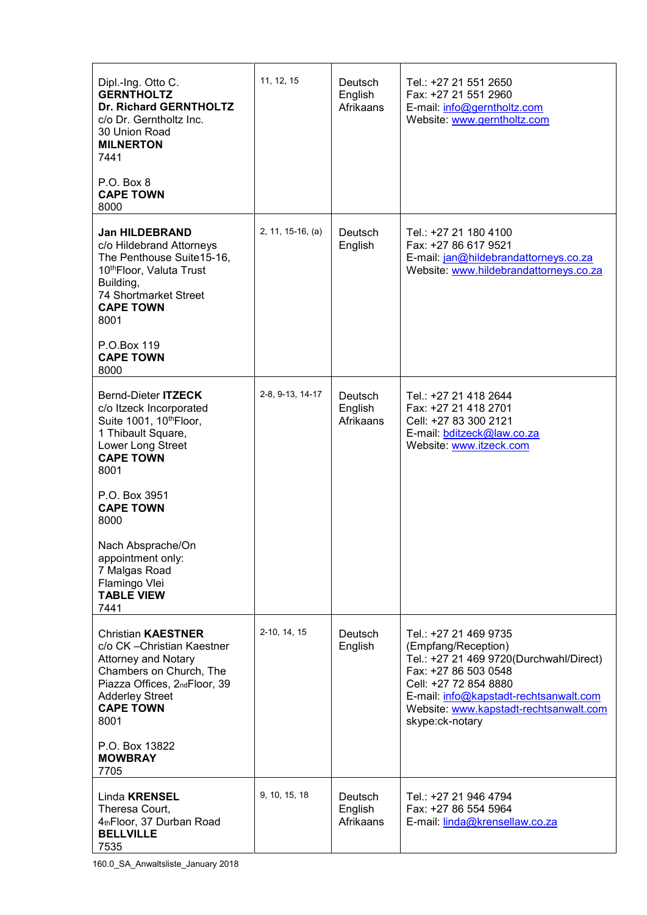| Dipl.-Ing. Otto C.<br><b>GERNTHOLTZ</b><br><b>Dr. Richard GERNTHOLTZ</b><br>c/o Dr. Gerntholtz Inc.<br>30 Union Road<br><b>MILNERTON</b><br>7441                                                        | 11, 12, 15        | Deutsch<br>English<br>Afrikaans | Tel.: +27 21 551 2650<br>Fax: +27 21 551 2960<br>E-mail: info@gerntholtz.com<br>Website: www.gerntholtz.com                                                                                                                                     |
|---------------------------------------------------------------------------------------------------------------------------------------------------------------------------------------------------------|-------------------|---------------------------------|-------------------------------------------------------------------------------------------------------------------------------------------------------------------------------------------------------------------------------------------------|
| P.O. Box 8<br><b>CAPE TOWN</b><br>8000                                                                                                                                                                  |                   |                                 |                                                                                                                                                                                                                                                 |
| <b>Jan HILDEBRAND</b><br>c/o Hildebrand Attorneys<br>The Penthouse Suite15-16,<br>10th Floor, Valuta Trust<br>Building,<br>74 Shortmarket Street<br><b>CAPE TOWN</b><br>8001                            | 2, 11, 15-16, (a) | Deutsch<br>English              | Tel.: +27 21 180 4100<br>Fax: +27 86 617 9521<br>E-mail: jan@hildebrandattorneys.co.za<br>Website: www.hildebrandattorneys.co.za                                                                                                                |
| P.O.Box 119<br><b>CAPE TOWN</b><br>8000                                                                                                                                                                 |                   |                                 |                                                                                                                                                                                                                                                 |
| Bernd-Dieter ITZECK<br>c/o Itzeck Incorporated<br>Suite 1001, 10th Floor,<br>1 Thibault Square,<br>Lower Long Street<br><b>CAPE TOWN</b><br>8001                                                        | 2-8, 9-13, 14-17  | Deutsch<br>English<br>Afrikaans | Tel.: +27 21 418 2644<br>Fax: +27 21 418 2701<br>Cell: +27 83 300 2121<br>E-mail: bditzeck@law.co.za<br>Website: www.itzeck.com                                                                                                                 |
| P.O. Box 3951<br><b>CAPE TOWN</b><br>8000                                                                                                                                                               |                   |                                 |                                                                                                                                                                                                                                                 |
| Nach Absprache/On<br>appointment only:<br>7 Malgas Road<br>Flamingo Vlei<br><b>TABLE VIEW</b><br>7441                                                                                                   |                   |                                 |                                                                                                                                                                                                                                                 |
| <b>Christian KAESTNER</b><br>c/o CK - Christian Kaestner<br><b>Attorney and Notary</b><br>Chambers on Church, The<br>Piazza Offices, 2ndFloor, 39<br><b>Adderley Street</b><br><b>CAPE TOWN</b><br>8001 | 2-10, 14, 15      | Deutsch<br>English              | Tel.: +27 21 469 9735<br>(Empfang/Reception)<br>Tel.: +27 21 469 9720(Durchwahl/Direct)<br>Fax: +27 86 503 0548<br>Cell: +27 72 854 8880<br>E-mail: info@kapstadt-rechtsanwalt.com<br>Website: www.kapstadt-rechtsanwalt.com<br>skype:ck-notary |
| P.O. Box 13822<br><b>MOWBRAY</b><br>7705                                                                                                                                                                |                   |                                 |                                                                                                                                                                                                                                                 |
| Linda <b>KRENSEL</b><br>Theresa Court,<br>4thFloor, 37 Durban Road<br><b>BELLVILLE</b><br>7535                                                                                                          | 9, 10, 15, 18     | Deutsch<br>English<br>Afrikaans | Tel.: +27 21 946 4794<br>Fax: +27 86 554 5964<br>E-mail: linda@krensellaw.co.za                                                                                                                                                                 |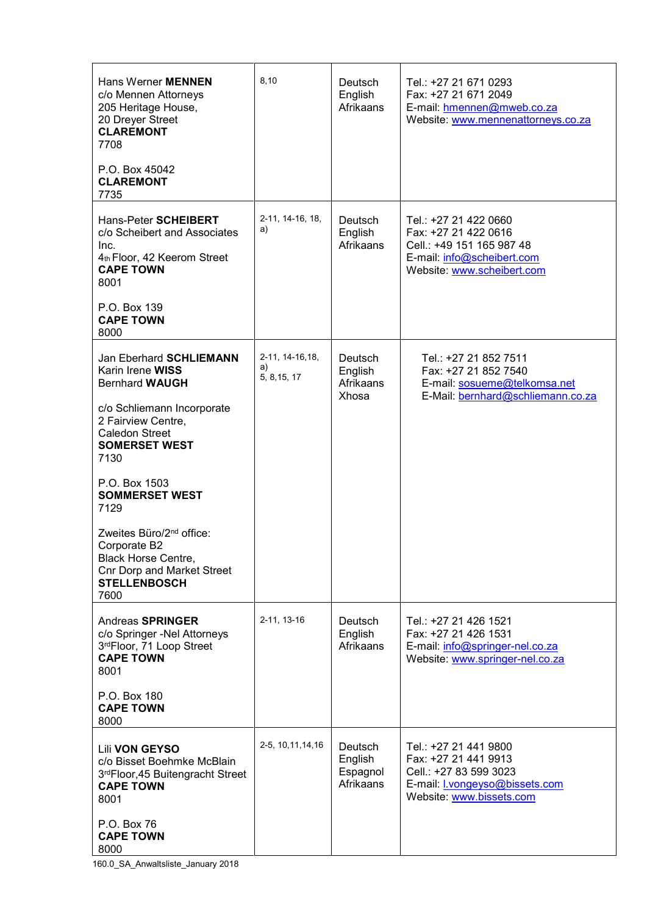| Hans Werner <b>MENNEN</b><br>c/o Mennen Attorneys<br>205 Heritage House,<br>20 Dreyer Street<br><b>CLAREMONT</b><br>7708                                    | 8,10                                   | <b>Deutsch</b><br>English<br>Afrikaans             | Tel.: +27 21 671 0293<br>Fax: +27 21 671 2049<br>E-mail: hmennen@mweb.co.za<br>Website: www.mennenattorneys.co.za                             |
|-------------------------------------------------------------------------------------------------------------------------------------------------------------|----------------------------------------|----------------------------------------------------|-----------------------------------------------------------------------------------------------------------------------------------------------|
| P.O. Box 45042<br><b>CLAREMONT</b><br>7735                                                                                                                  |                                        |                                                    |                                                                                                                                               |
| Hans-Peter SCHEIBERT<br>c/o Scheibert and Associates<br>Inc.<br>4th Floor, 42 Keerom Street<br><b>CAPE TOWN</b><br>8001                                     | 2-11, 14-16, 18,<br>a)                 | Deutsch<br>English<br>Afrikaans                    | Tel.: +27 21 422 0660<br>Fax: +27 21 422 0616<br>Cell.: +49 151 165 987 48<br>E-mail: info@scheibert.com<br>Website: www.scheibert.com        |
| P.O. Box 139<br><b>CAPE TOWN</b><br>8000                                                                                                                    |                                        |                                                    |                                                                                                                                               |
| Jan Eberhard SCHLIEMANN<br>Karin Irene WISS<br><b>Bernhard WAUGH</b>                                                                                        | 2-11, 14-16, 18,<br>a)<br>5, 8, 15, 17 | Deutsch<br>English<br>Afrikaans                    | Tel.: +27 21 852 7511<br>Fax: +27 21 852 7540<br>E-mail: sosueme@telkomsa.net                                                                 |
| c/o Schliemann Incorporate<br>2 Fairview Centre,<br><b>Caledon Street</b><br><b>SOMERSET WEST</b><br>7130                                                   |                                        | Xhosa                                              | E-Mail: bernhard@schliemann.co.za                                                                                                             |
| P.O. Box 1503<br><b>SOMMERSET WEST</b><br>7129                                                                                                              |                                        |                                                    |                                                                                                                                               |
| Zweites Büro/2 <sup>nd</sup> office:<br>Corporate B <sub>2</sub><br>Black Horse Centre,<br><b>Cnr Dorp and Market Street</b><br><b>STELLENBOSCH</b><br>7600 |                                        |                                                    |                                                                                                                                               |
| Andreas <b>SPRINGER</b><br>c/o Springer -Nel Attorneys<br>3rdFloor, 71 Loop Street<br><b>CAPE TOWN</b><br>8001                                              | 2-11, 13-16                            | Deutsch<br>English<br>Afrikaans                    | Tel.: +27 21 426 1521<br>Fax: +27 21 426 1531<br>E-mail: info@springer-nel.co.za<br>Website: www.springer-nel.co.za                           |
| P.O. Box 180<br><b>CAPE TOWN</b><br>8000                                                                                                                    |                                        |                                                    |                                                                                                                                               |
| <b>Lili VON GEYSO</b><br>c/o Bisset Boehmke McBlain<br>3 <sup>rd</sup> Floor, 45 Buitengracht Street<br><b>CAPE TOWN</b><br>8001                            | 2-5, 10, 11, 14, 16                    | <b>Deutsch</b><br>English<br>Espagnol<br>Afrikaans | Tel.: +27 21 441 9800<br>Fax: +27 21 441 9913<br>Cell.: +27 83 599 3023<br>E-mail: <b>I</b> .vongeyso@bissets.com<br>Website: www.bissets.com |
| P.O. Box 76<br><b>CAPE TOWN</b><br>8000                                                                                                                     |                                        |                                                    |                                                                                                                                               |

160.0\_SA\_Anwaltsliste\_January 2018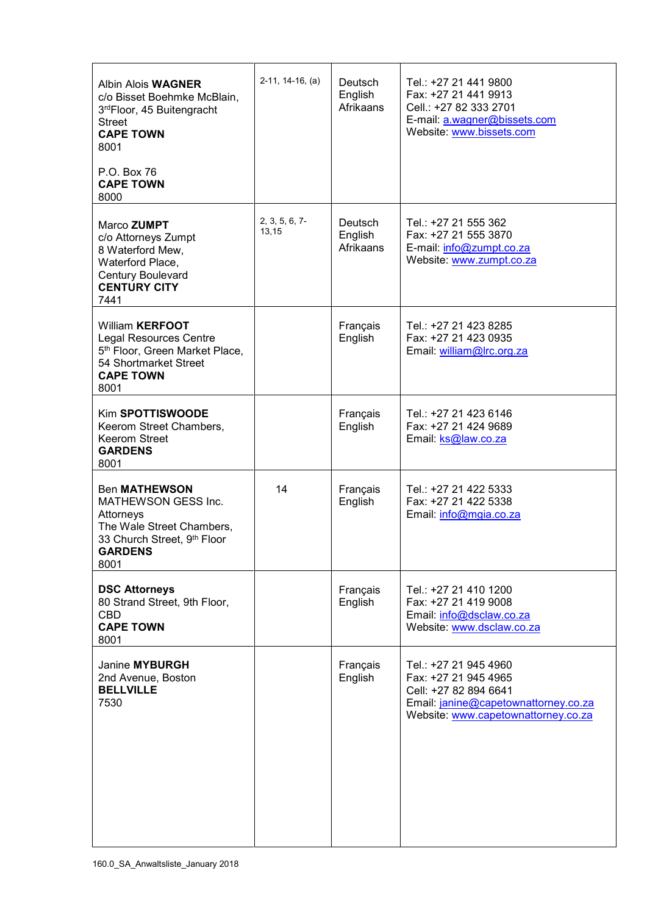| <b>Albin Alois WAGNER</b><br>c/o Bisset Boehmke McBlain,<br>3rdFloor, 45 Buitengracht<br><b>Street</b><br><b>CAPE TOWN</b><br>8001                         | $2-11, 14-16, (a)$         | <b>Deutsch</b><br>English<br>Afrikaans | Tel.: +27 21 441 9800<br>Fax: +27 21 441 9913<br>Cell.: +27 82 333 2701<br>E-mail: a.wagner@bissets.com<br>Website: www.bissets.com                   |
|------------------------------------------------------------------------------------------------------------------------------------------------------------|----------------------------|----------------------------------------|-------------------------------------------------------------------------------------------------------------------------------------------------------|
| P.O. Box 76<br><b>CAPE TOWN</b><br>8000                                                                                                                    |                            |                                        |                                                                                                                                                       |
| Marco ZUMPT<br>c/o Attorneys Zumpt<br>8 Waterford Mew,<br>Waterford Place,<br>Century Boulevard<br><b>CENTURY CITY</b><br>7441                             | $2, 3, 5, 6, 7$ -<br>13,15 | <b>Deutsch</b><br>English<br>Afrikaans | Tel.: +27 21 555 362<br>Fax: +27 21 555 3870<br>E-mail: info@zumpt.co.za<br>Website: www.zumpt.co.za                                                  |
| <b>William KERFOOT</b><br><b>Legal Resources Centre</b><br>5 <sup>th</sup> Floor, Green Market Place,<br>54 Shortmarket Street<br><b>CAPE TOWN</b><br>8001 |                            | Français<br>English                    | Tel.: +27 21 423 8285<br>Fax: +27 21 423 0935<br>Email: william@lrc.org.za                                                                            |
| Kim SPOTTISWOODE<br>Keerom Street Chambers,<br>Keerom Street<br><b>GARDENS</b><br>8001                                                                     |                            | Français<br>English                    | Tel.: +27 21 423 6146<br>Fax: +27 21 424 9689<br>Email: ks@law.co.za                                                                                  |
| <b>Ben MATHEWSON</b><br>MATHEWSON GESS Inc.<br>Attorneys<br>The Wale Street Chambers,<br>33 Church Street, 9th Floor<br><b>GARDENS</b><br>8001             | 14                         | Français<br>English                    | Tel.: +27 21 422 5333<br>Fax: +27 21 422 5338<br>Email: info@mgia.co.za                                                                               |
| <b>DSC Attorneys</b><br>80 Strand Street, 9th Floor,<br><b>CBD</b><br><b>CAPE TOWN</b><br>8001                                                             |                            | Français<br>English                    | Tel.: +27 21 410 1200<br>Fax: +27 21 419 9008<br>Email: info@dsclaw.co.za<br>Website: www.dsclaw.co.za                                                |
| Janine MYBURGH<br>2nd Avenue, Boston<br><b>BELLVILLE</b><br>7530                                                                                           |                            | Français<br>English                    | Tel.: +27 21 945 4960<br>Fax: +27 21 945 4965<br>Cell: +27 82 894 6641<br>Email: janine@capetownattorney.co.za<br>Website: www.capetownattorney.co.za |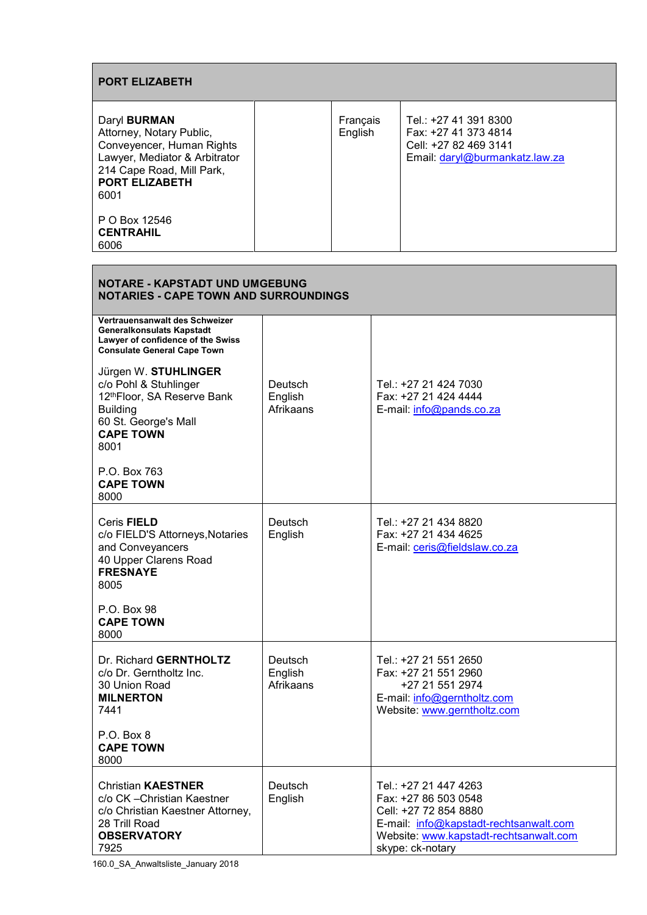| <b>PORT ELIZABETH</b>                                                                                                                                                       |                     |                                                                                                          |  |
|-----------------------------------------------------------------------------------------------------------------------------------------------------------------------------|---------------------|----------------------------------------------------------------------------------------------------------|--|
| Daryl <b>BURMAN</b><br>Attorney, Notary Public,<br>Conveyencer, Human Rights<br>Lawyer, Mediator & Arbitrator<br>214 Cape Road, Mill Park,<br><b>PORT ELIZABETH</b><br>6001 | Français<br>English | Tel.: +27 41 391 8300<br>Fax: +27 41 373 4814<br>Cell: +27 82 469 3141<br>Email: daryl@burmankatz.law.za |  |
| P O Box 12546<br><b>CENTRAHIL</b><br>6006                                                                                                                                   |                     |                                                                                                          |  |

| <b>NOTARE - KAPSTADT UND UMGEBUNG</b><br><b>NOTARIES - CAPE TOWN AND SURROUNDINGS</b>                                                              |                                 |                                                                                                                                                                                |  |
|----------------------------------------------------------------------------------------------------------------------------------------------------|---------------------------------|--------------------------------------------------------------------------------------------------------------------------------------------------------------------------------|--|
| Vertrauensanwalt des Schweizer<br><b>Generalkonsulats Kapstadt</b><br>Lawyer of confidence of the Swiss<br><b>Consulate General Cape Town</b>      |                                 |                                                                                                                                                                                |  |
| Jürgen W. STUHLINGER<br>c/o Pohl & Stuhlinger<br>12thFloor, SA Reserve Bank<br><b>Building</b><br>60 St. George's Mall<br><b>CAPE TOWN</b><br>8001 | Deutsch<br>English<br>Afrikaans | Tel.: +27 21 424 7030<br>Fax: +27 21 424 4444<br>E-mail: info@pands.co.za                                                                                                      |  |
| P.O. Box 763<br><b>CAPE TOWN</b><br>8000                                                                                                           |                                 |                                                                                                                                                                                |  |
| Ceris FIELD<br>c/o FIELD'S Attorneys, Notaries<br>and Conveyancers<br>40 Upper Clarens Road<br><b>FRESNAYE</b><br>8005                             | Deutsch<br>English              | Tel.: +27 21 434 8820<br>Fax: +27 21 434 4625<br>E-mail: ceris@fieldslaw.co.za                                                                                                 |  |
| P.O. Box 98<br><b>CAPE TOWN</b><br>8000                                                                                                            |                                 |                                                                                                                                                                                |  |
| Dr. Richard GERNTHOLTZ<br>c/o Dr. Gerntholtz Inc.<br>30 Union Road<br><b>MILNERTON</b><br>7441<br>P.O. Box 8<br><b>CAPE TOWN</b><br>8000           | Deutsch<br>English<br>Afrikaans | Tel.: +27 21 551 2650<br>Fax: +27 21 551 2960<br>+27 21 551 2974<br>E-mail: info@gerntholtz.com<br>Website: www.gerntholtz.com                                                 |  |
| <b>Christian KAESTNER</b><br>c/o CK - Christian Kaestner<br>c/o Christian Kaestner Attorney,<br>28 Trill Road<br><b>OBSERVATORY</b><br>7925        | Deutsch<br>English              | Tel.: +27 21 447 4263<br>Fax: +27 86 503 0548<br>Cell: +27 72 854 8880<br>E-mail: info@kapstadt-rechtsanwalt.com<br>Website: www.kapstadt-rechtsanwalt.com<br>skype: ck-notary |  |

160.0\_SA\_Anwaltsliste\_January 2018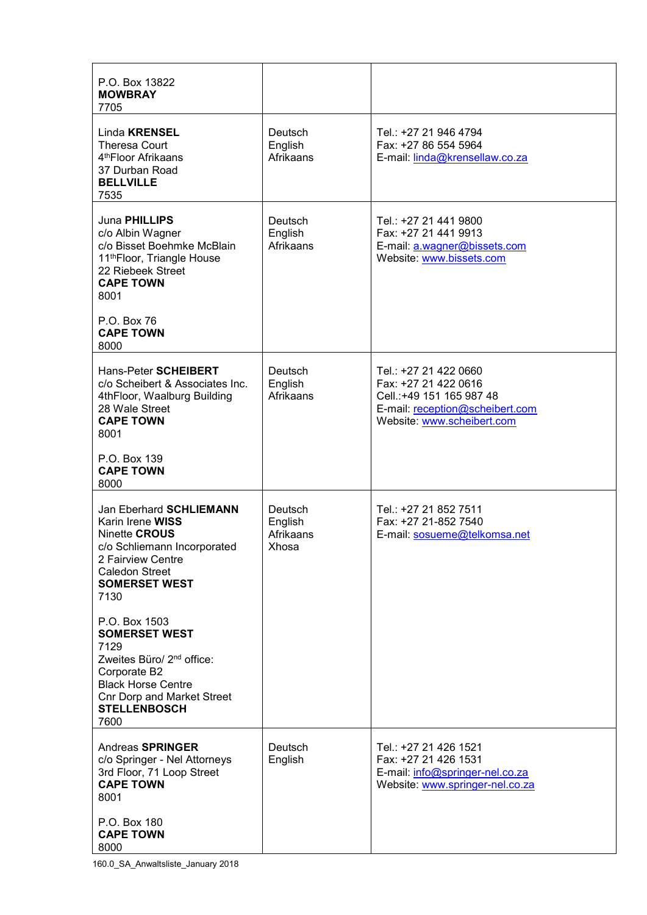| P.O. Box 13822<br><b>MOWBRAY</b><br>7705                                                                                                                                                                |                                          |                                                                                                                                             |
|---------------------------------------------------------------------------------------------------------------------------------------------------------------------------------------------------------|------------------------------------------|---------------------------------------------------------------------------------------------------------------------------------------------|
| Linda <b>KRENSEL</b><br><b>Theresa Court</b><br>4 <sup>th</sup> Floor Afrikaans<br>37 Durban Road<br><b>BELLVILLE</b><br>7535                                                                           | Deutsch<br>English<br>Afrikaans          | Tel.: +27 21 946 4794<br>Fax: +27 86 554 5964<br>E-mail: linda@krensellaw.co.za                                                             |
| Juna PHILLIPS<br>c/o Albin Wagner<br>c/o Bisset Boehmke McBlain<br>11th Floor, Triangle House<br>22 Riebeek Street<br><b>CAPE TOWN</b><br>8001                                                          | Deutsch<br>English<br>Afrikaans          | Tel.: +27 21 441 9800<br>Fax: +27 21 441 9913<br>E-mail: a.wagner@bissets.com<br>Website: www.bissets.com                                   |
| P.O. Box 76<br><b>CAPE TOWN</b><br>8000                                                                                                                                                                 |                                          |                                                                                                                                             |
| Hans-Peter <b>SCHEIBERT</b><br>c/o Scheibert & Associates Inc.<br>4thFloor, Waalburg Building<br>28 Wale Street<br><b>CAPE TOWN</b><br>8001                                                             | Deutsch<br>English<br>Afrikaans          | Tel.: +27 21 422 0660<br>Fax: +27 21 422 0616<br>Cell.: +49 151 165 987 48<br>E-mail: reception@scheibert.com<br>Website: www.scheibert.com |
| P.O. Box 139<br><b>CAPE TOWN</b><br>8000                                                                                                                                                                |                                          |                                                                                                                                             |
| Jan Eberhard SCHLIEMANN<br>Karin Irene WISS<br>Ninette CROUS<br>c/o Schliemann Incorporated<br>2 Fairview Centre<br><b>Caledon Street</b><br><b>SOMERSET WEST</b><br>7130                               | Deutsch<br>English<br>Afrikaans<br>Xhosa | Tel.: +27 21 852 7511<br>Fax: +27 21-852 7540<br>E-mail: sosueme@telkomsa.net                                                               |
| P.O. Box 1503<br><b>SOMERSET WEST</b><br>7129<br>Zweites Büro/ 2 <sup>nd</sup> office:<br>Corporate B2<br><b>Black Horse Centre</b><br><b>Cnr Dorp and Market Street</b><br><b>STELLENBOSCH</b><br>7600 |                                          |                                                                                                                                             |
| <b>Andreas SPRINGER</b><br>c/o Springer - Nel Attorneys<br>3rd Floor, 71 Loop Street<br><b>CAPE TOWN</b><br>8001                                                                                        | Deutsch<br>English                       | Tel.: +27 21 426 1521<br>Fax: +27 21 426 1531<br>E-mail: info@springer-nel.co.za<br>Website: www.springer-nel.co.za                         |
| P.O. Box 180<br><b>CAPE TOWN</b><br>8000                                                                                                                                                                |                                          |                                                                                                                                             |